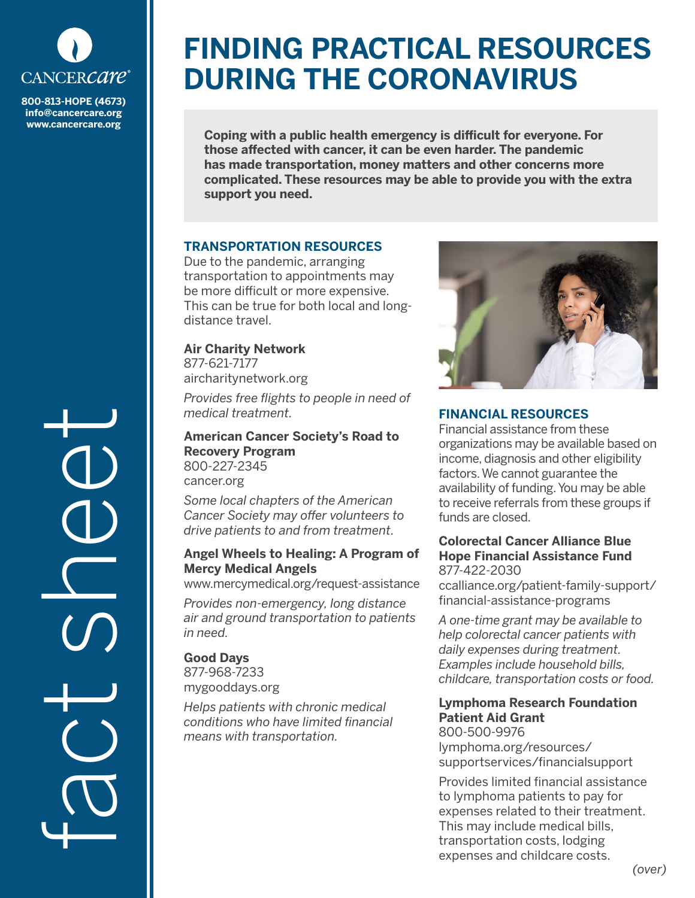

**800-813-HOPE (4673) info@cancercare.org www.cancercare.org**

fact see

# **FINDING PRACTICAL RESOURCES DURING THE CORONAVIRUS**

**Coping with a public health emergency is difficult for everyone. For those affected with cancer, it can be even harder. The pandemic has made transportation, money matters and other concerns more complicated. These resources may be able to provide you with the extra support you need.**

# **TRANSPORTATION RESOURCES**

Due to the pandemic, arranging transportation to appointments may be more difficult or more expensive. This can be true for both local and longdistance travel.

# **Air Charity Network**

877-621-7177 aircharitynetwork.org

*Provides free flights to people in need of medical treatment.*

**American Cancer Society's Road to Recovery Program** 800-227-2345

cancer.org

*Some local chapters of the American Cancer Society may offer volunteers to drive patients to and from treatment.*

# **Angel Wheels to Healing: A Program of Mercy Medical Angels**

www.mercymedical.org/request-assistance

*Provides non-emergency, long distance air and ground transportation to patients in need.*

**Good Days** 877-968-7233 mygooddays.org

*Helps patients with chronic medical conditions who have limited financial means with transportation.*



# **FINANCIAL RESOURCES**

Financial assistance from these organizations may be available based on income, diagnosis and other eligibility factors. We cannot guarantee the availability of funding. You may be able to receive referrals from these groups if funds are closed.

#### **Colorectal Cancer Alliance Blue Hope Financial Assistance Fund** 877-422-2030

ccalliance.org/patient-family-support/ financial-assistance-programs

*A one-time grant may be available to help colorectal cancer patients with daily expenses during treatment. Examples include household bills, childcare, transportation costs or food.*

#### **Lymphoma Research Foundation Patient Aid Grant**

800-500-9976 lymphoma.org/resources/ supportservices/financialsupport

Provides limited financial assistance to lymphoma patients to pay for expenses related to their treatment. This may include medical bills, transportation costs, lodging expenses and childcare costs.